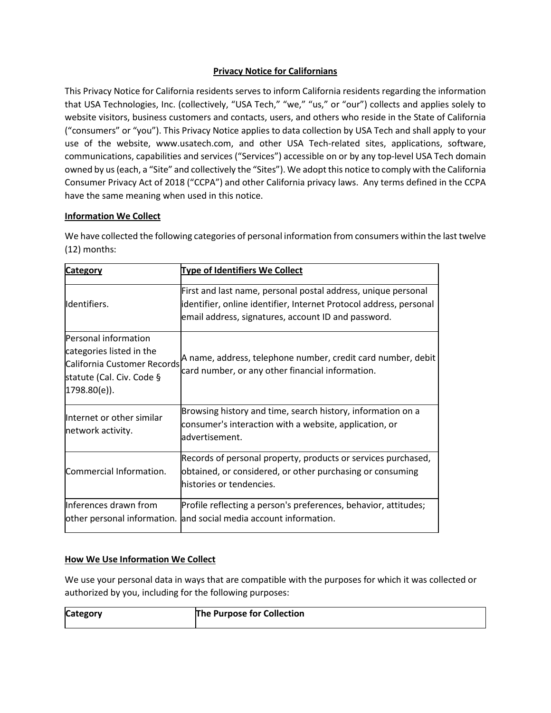## **Privacy Notice for Californians**

This Privacy Notice for California residents serves to inform California residents regarding the information that USA Technologies, Inc. (collectively, "USA Tech," "we," "us," or "our") collects and applies solely to website visitors, business customers and contacts, users, and others who reside in the State of California ("consumers" or "you"). This Privacy Notice applies to data collection by USA Tech and shall apply to your use of the website, www.usatech.com, and other USA Tech-related sites, applications, software, communications, capabilities and services ("Services") accessible on or by any top-level USA Tech domain owned by us (each, a "Site" and collectively the "Sites"). We adopt this notice to comply with the California Consumer Privacy Act of 2018 ("CCPA") and other California privacy laws. Any terms defined in the CCPA have the same meaning when used in this notice.

## **Information We Collect**

We have collected the following categories of personal information from consumers within the last twelve (12) months:

| Category                                                                                                                      | <b>Type of Identifiers We Collect</b>                                                                                                                                                      |
|-------------------------------------------------------------------------------------------------------------------------------|--------------------------------------------------------------------------------------------------------------------------------------------------------------------------------------------|
| Identifiers.                                                                                                                  | First and last name, personal postal address, unique personal<br>identifier, online identifier, Internet Protocol address, personal<br>email address, signatures, account ID and password. |
| Personal information<br>categories listed in the<br>California Customer Records<br>statute (Cal. Civ. Code §<br> 1798.80(e) . | A name, address, telephone number, credit card number, debit<br>card number, or any other financial information.                                                                           |
| Internet or other similar<br>network activity.                                                                                | Browsing history and time, search history, information on a<br>consumer's interaction with a website, application, or<br>advertisement.                                                    |
| Commercial Information.                                                                                                       | Records of personal property, products or services purchased,<br>obtained, or considered, or other purchasing or consuming<br>histories or tendencies.                                     |
| Inferences drawn from<br>other personal information.                                                                          | Profile reflecting a person's preferences, behavior, attitudes;<br>and social media account information.                                                                                   |

## **How We Use Information We Collect**

We use your personal data in ways that are compatible with the purposes for which it was collected or authorized by you, including for the following purposes:

| <b>Category</b> | The Purpose for Collection |
|-----------------|----------------------------|
|                 |                            |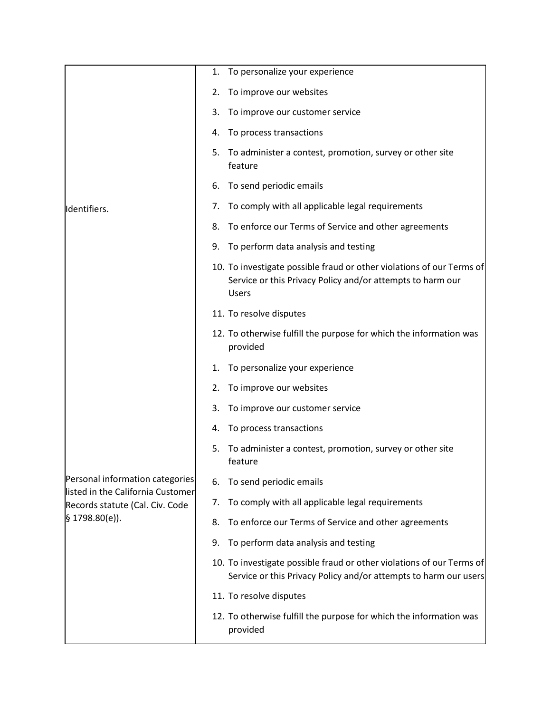| Identifiers.                                                                                                              | To personalize your experience<br>1.                                                                                                                |
|---------------------------------------------------------------------------------------------------------------------------|-----------------------------------------------------------------------------------------------------------------------------------------------------|
|                                                                                                                           | To improve our websites<br>2.                                                                                                                       |
|                                                                                                                           | 3.<br>To improve our customer service                                                                                                               |
|                                                                                                                           | To process transactions<br>4.                                                                                                                       |
|                                                                                                                           | To administer a contest, promotion, survey or other site<br>5.<br>feature                                                                           |
|                                                                                                                           | To send periodic emails<br>6.                                                                                                                       |
|                                                                                                                           | To comply with all applicable legal requirements<br>7.                                                                                              |
|                                                                                                                           | To enforce our Terms of Service and other agreements<br>8.                                                                                          |
|                                                                                                                           | To perform data analysis and testing<br>9.                                                                                                          |
|                                                                                                                           | 10. To investigate possible fraud or other violations of our Terms of<br>Service or this Privacy Policy and/or attempts to harm our<br><b>Users</b> |
|                                                                                                                           | 11. To resolve disputes                                                                                                                             |
|                                                                                                                           | 12. To otherwise fulfill the purpose for which the information was<br>provided                                                                      |
|                                                                                                                           | To personalize your experience<br>1.                                                                                                                |
|                                                                                                                           | To improve our websites<br>2.                                                                                                                       |
|                                                                                                                           | 3.<br>To improve our customer service                                                                                                               |
| Personal information categories<br>listed in the California Customer<br>Records statute (Cal. Civ. Code<br>§ 1798.80(e)). | To process transactions<br>4.                                                                                                                       |
|                                                                                                                           | To administer a contest, promotion, survey or other site<br>5.<br>feature                                                                           |
|                                                                                                                           | To send periodic emails<br>6.                                                                                                                       |
|                                                                                                                           | To comply with all applicable legal requirements<br>7.                                                                                              |
|                                                                                                                           | To enforce our Terms of Service and other agreements<br>8.                                                                                          |
|                                                                                                                           | To perform data analysis and testing<br>9.                                                                                                          |
|                                                                                                                           | 10. To investigate possible fraud or other violations of our Terms of<br>Service or this Privacy Policy and/or attempts to harm our users           |
|                                                                                                                           | 11. To resolve disputes                                                                                                                             |
|                                                                                                                           | 12. To otherwise fulfill the purpose for which the information was<br>provided                                                                      |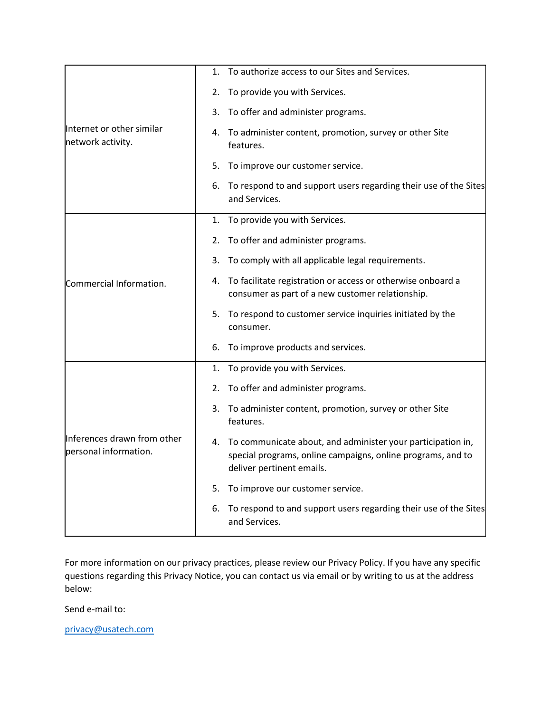| Internet or other similar<br>network activity.       | To authorize access to our Sites and Services.<br>1.                                                                                                       |
|------------------------------------------------------|------------------------------------------------------------------------------------------------------------------------------------------------------------|
|                                                      | To provide you with Services.<br>2.                                                                                                                        |
|                                                      | To offer and administer programs.<br>3.                                                                                                                    |
|                                                      | 4. To administer content, promotion, survey or other Site<br>features.                                                                                     |
|                                                      | To improve our customer service.<br>5.                                                                                                                     |
|                                                      | To respond to and support users regarding their use of the Sites<br>6.<br>and Services.                                                                    |
|                                                      | 1. To provide you with Services.                                                                                                                           |
|                                                      | 2. To offer and administer programs.                                                                                                                       |
|                                                      | To comply with all applicable legal requirements.<br>3.                                                                                                    |
| Commercial Information.                              | 4. To facilitate registration or access or otherwise onboard a<br>consumer as part of a new customer relationship.                                         |
|                                                      | 5. To respond to customer service inquiries initiated by the<br>consumer.                                                                                  |
|                                                      | To improve products and services.<br>6.                                                                                                                    |
| Inferences drawn from other<br>personal information. | To provide you with Services.<br>1.                                                                                                                        |
|                                                      | To offer and administer programs.<br>2.                                                                                                                    |
|                                                      | To administer content, promotion, survey or other Site<br>3.<br>features.                                                                                  |
|                                                      | 4. To communicate about, and administer your participation in,<br>special programs, online campaigns, online programs, and to<br>deliver pertinent emails. |
|                                                      | To improve our customer service.<br>5.                                                                                                                     |
|                                                      | To respond to and support users regarding their use of the Sites<br>6.<br>and Services.                                                                    |

For more information on our privacy practices, please review our Privacy Policy. If you have any specific questions regarding this Privacy Notice, you can contact us via email or by writing to us at the address below:

Send e-mail to:

[privacy@usatech.com](about:blank)